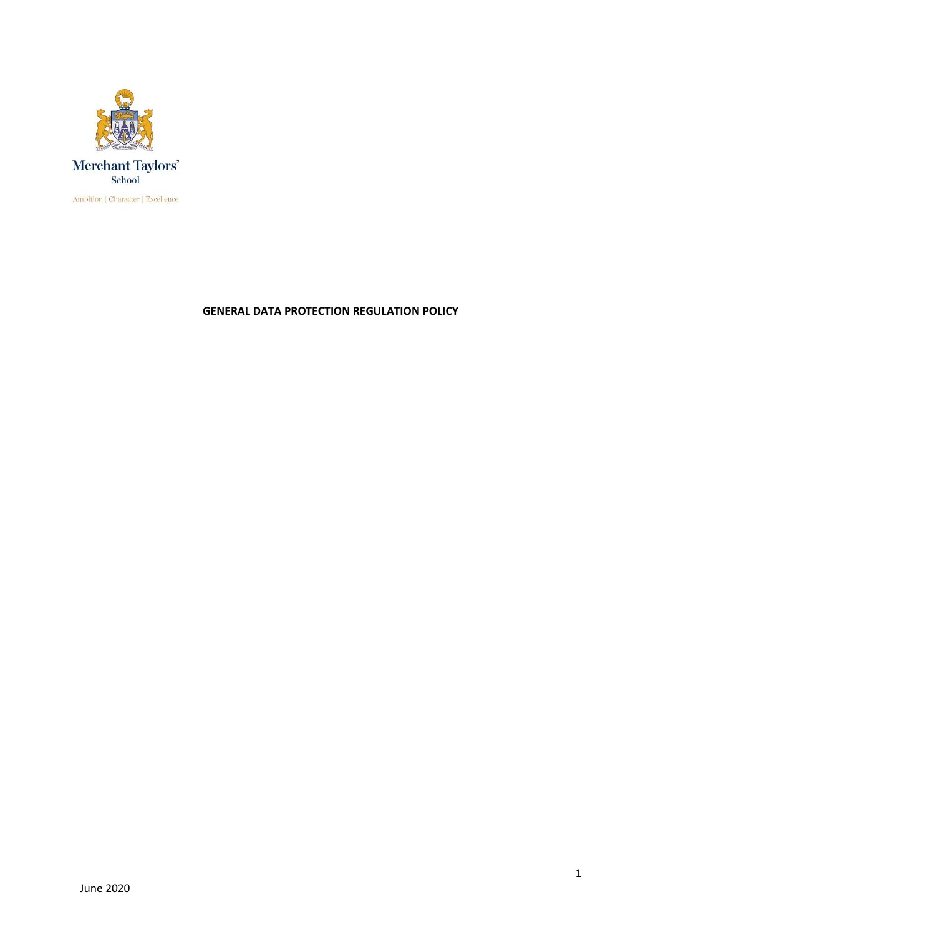

**GENERAL DATA PROTECTION REGULATION POLICY**

1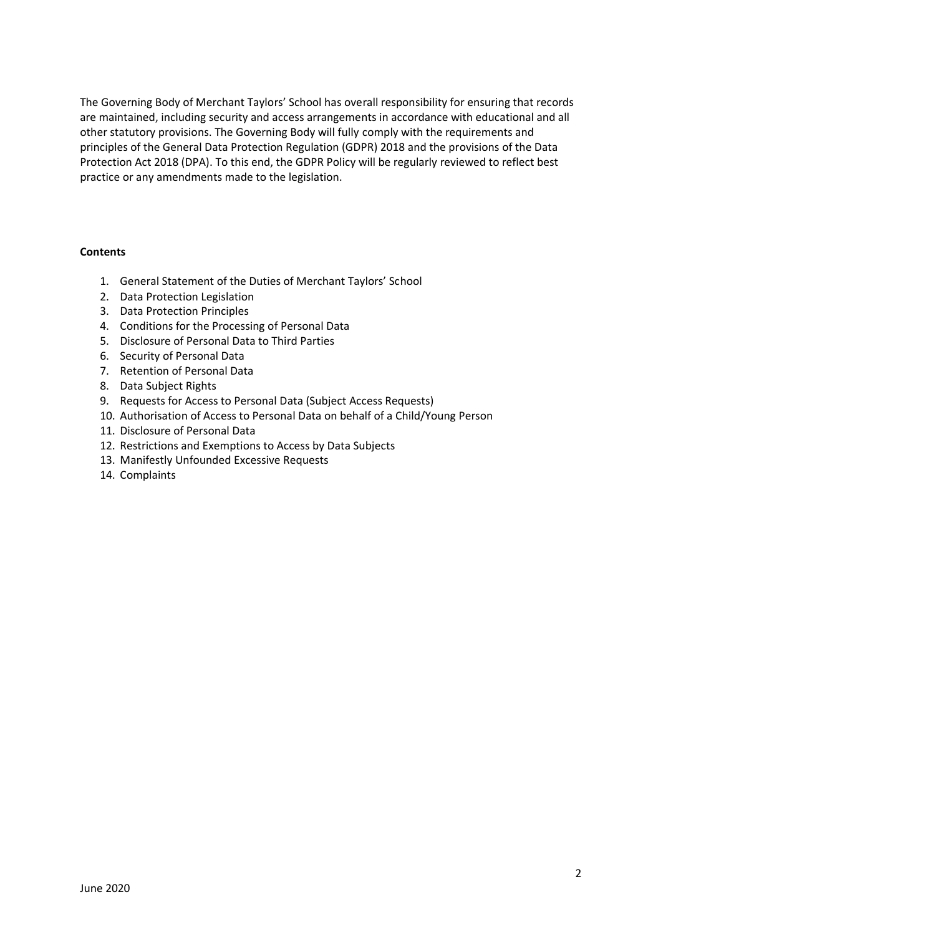The Governing Body of Merchant Taylors' School has overall responsibility for ensuring that records are maintained, including security and access arrangements in accordance with educational and all other statutory provisions. The Governing Body will fully comply with the requirements and principles of the General Data Protection Regulation (GDPR) 2018 and the provisions of the Data Protection Act 2018 (DPA). To this end, the GDPR Policy will be regularly reviewed to reflect best practice or any amendments made to the legislation.

#### **Contents**

- 1. General Statement of the Duties of Merchant Taylors' School
- 2. Data Protection Legislation
- 3. Data Protection Principles
- 4. Conditions for the Processing of Personal Data
- 5. Disclosure of Personal Data to Third Parties
- 6. Security of Personal Data
- 7. Retention of Personal Data
- 8. Data Subject Rights
- 9. Requests for Access to Personal Data (Subject Access Requests)
- 10. Authorisation of Access to Personal Data on behalf of a Child/Young Person
- 11. Disclosure of Personal Data
- 12. Restrictions and Exemptions to Access by Data Subjects
- 13. Manifestly Unfounded Excessive Requests
- 14. Complaints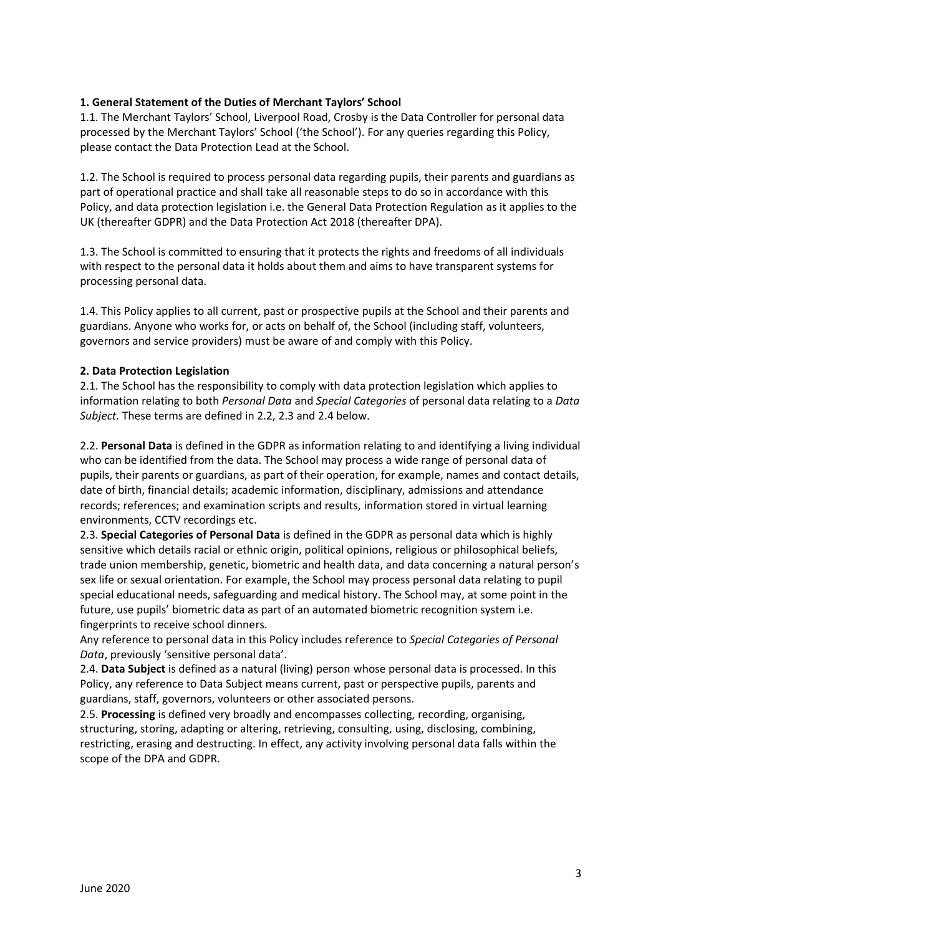### **1. General Statement of the Duties of Merchant Taylors' School**

1.1. The Merchant Taylors' School, Liverpool Road, Crosby is the Data Controller for personal data processed by the Merchant Taylors' School ('the School'). For any queries regarding this Policy, please contact the Data Protection Lead at the School.

1.2. The School is required to process personal data regarding pupils, their parents and guardians as part of operational practice and shall take all reasonable steps to do so in accordance with this Policy, and data protection legislation i.e. the General Data Protection Regulation as it applies to the UK (thereafter GDPR) and the Data Protection Act 2018 (thereafter DPA).

1.3. The School is committed to ensuring that it protects the rights and freedoms of all individuals with respect to the personal data it holds about them and aims to have transparent systems for processing personal data.

1.4. This Policy applies to all current, past or prospective pupils at the School and their parents and guardians. Anyone who works for, or acts on behalf of, the School (including staff, volunteers, governors and service providers) must be aware of and comply with this Policy.

#### **2. Data Protection Legislation**

2.1. The School has the responsibility to comply with data protection legislation which applies to information relating to both *Personal Data* and *Special Categories* of personal data relating to a *Data Subject.* These terms are defined in 2.2, 2.3 and 2.4 below.

2.2. **Personal Data** is defined in the GDPR as information relating to and identifying a living individual who can be identified from the data. The School may process a wide range of personal data of pupils, their parents or guardians, as part of their operation, for example, names and contact details, date of birth, financial details; academic information, disciplinary, admissions and attendance records; references; and examination scripts and results, information stored in virtual learning environments, CCTV recordings etc.

2.3. **Special Categories of Personal Data** is defined in the GDPR as personal data which is highly sensitive which details racial or ethnic origin, political opinions, religious or philosophical beliefs, trade union membership, genetic, biometric and health data, and data concerning a natural person's sex life or sexual orientation. For example, the School may process personal data relating to pupil special educational needs, safeguarding and medical history. The School may, at some point in the future, use pupils' biometric data as part of an automated biometric recognition system i.e. fingerprints to receive school dinners.

Any reference to personal data in this Policy includes reference to *Special Categories of Personal Data*, previously 'sensitive personal data'.

2.4. **Data Subject** is defined as a natural (living) person whose personal data is processed. In this Policy, any reference to Data Subject means current, past or perspective pupils, parents and guardians, staff, governors, volunteers or other associated persons.

2.5. **Processing** is defined very broadly and encompasses collecting, recording, organising, structuring, storing, adapting or altering, retrieving, consulting, using, disclosing, combining, restricting, erasing and destructing. In effect, any activity involving personal data falls within the scope of the DPA and GDPR.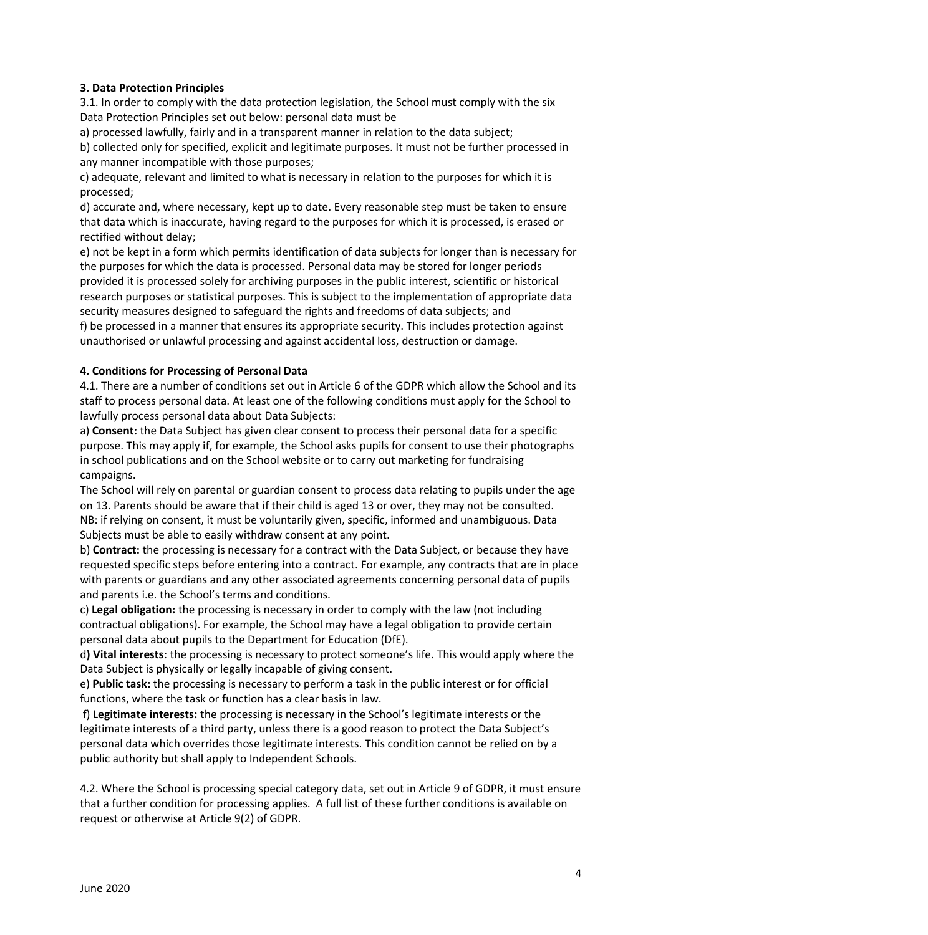### **3. Data Protection Principles**

3.1. In order to comply with the data protection legislation, the School must comply with the six Data Protection Principles set out below: personal data must be

a) processed lawfully, fairly and in a transparent manner in relation to the data subject;

b) collected only for specified, explicit and legitimate purposes. It must not be further processed in any manner incompatible with those purposes;

c) adequate, relevant and limited to what is necessary in relation to the purposes for which it is processed;

d) accurate and, where necessary, kept up to date. Every reasonable step must be taken to ensure that data which is inaccurate, having regard to the purposes for which it is processed, is erased or rectified without delay;

e) not be kept in a form which permits identification of data subjects for longer than is necessary for the purposes for which the data is processed. Personal data may be stored for longer periods provided it is processed solely for archiving purposes in the public interest, scientific or historical research purposes or statistical purposes. This is subject to the implementation of appropriate data security measures designed to safeguard the rights and freedoms of data subjects; and f) be processed in a manner that ensures its appropriate security. This includes protection against

unauthorised or unlawful processing and against accidental loss, destruction or damage.

### **4. Conditions for Processing of Personal Data**

4.1. There are a number of conditions set out in Article 6 of the GDPR which allow the School and its staff to process personal data. At least one of the following conditions must apply for the School to lawfully process personal data about Data Subjects:

a) **Consent:** the Data Subject has given clear consent to process their personal data for a specific purpose. This may apply if, for example, the School asks pupils for consent to use their photographs in school publications and on the School website or to carry out marketing for fundraising campaigns.

The School will rely on parental or guardian consent to process data relating to pupils under the age on 13. Parents should be aware that if their child is aged 13 or over, they may not be consulted. NB: if relying on consent, it must be voluntarily given, specific, informed and unambiguous. Data Subjects must be able to easily withdraw consent at any point.

b) **Contract:** the processing is necessary for a contract with the Data Subject, or because they have requested specific steps before entering into a contract. For example, any contracts that are in place with parents or guardians and any other associated agreements concerning personal data of pupils and parents i.e. the School's terms and conditions.

c) **Legal obligation:** the processing is necessary in order to comply with the law (not including contractual obligations). For example, the School may have a legal obligation to provide certain personal data about pupils to the Department for Education (DfE).

d**) Vital interests**: the processing is necessary to protect someone's life. This would apply where the Data Subject is physically or legally incapable of giving consent.

e) **Public task:** the processing is necessary to perform a task in the public interest or for official functions, where the task or function has a clear basis in law.

f) **Legitimate interests:** the processing is necessary in the School's legitimate interests or the legitimate interests of a third party, unless there is a good reason to protect the Data Subject's personal data which overrides those legitimate interests. This condition cannot be relied on by a public authority but shall apply to Independent Schools.

4.2. Where the School is processing special category data, set out in Article 9 of GDPR, it must ensure that a further condition for processing applies. A full list of these further conditions is available on request or otherwise at Article 9(2) of GDPR.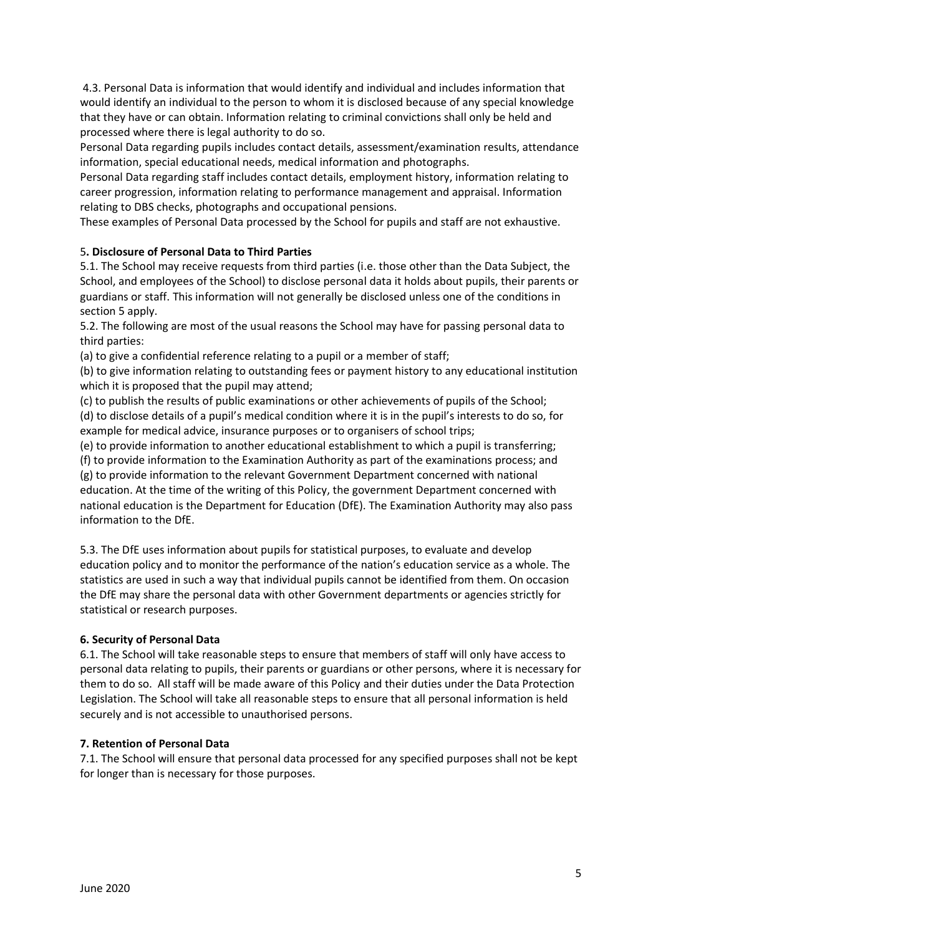4.3. Personal Data is information that would identify and individual and includes information that would identify an individual to the person to whom it is disclosed because of any special knowledge that they have or can obtain. Information relating to criminal convictions shall only be held and processed where there is legal authority to do so.

Personal Data regarding pupils includes contact details, assessment/examination results, attendance information, special educational needs, medical information and photographs.

Personal Data regarding staff includes contact details, employment history, information relating to career progression, information relating to performance management and appraisal. Information relating to DBS checks, photographs and occupational pensions.

These examples of Personal Data processed by the School for pupils and staff are not exhaustive.

# 5**. Disclosure of Personal Data to Third Parties**

5.1. The School may receive requests from third parties (i.e. those other than the Data Subject, the School, and employees of the School) to disclose personal data it holds about pupils, their parents or guardians or staff. This information will not generally be disclosed unless one of the conditions in section 5 apply.

5.2. The following are most of the usual reasons the School may have for passing personal data to third parties:

(a) to give a confidential reference relating to a pupil or a member of staff;

(b) to give information relating to outstanding fees or payment history to any educational institution which it is proposed that the pupil may attend:

(c) to publish the results of public examinations or other achievements of pupils of the School;

(d) to disclose details of a pupil's medical condition where it is in the pupil's interests to do so, for example for medical advice, insurance purposes or to organisers of school trips;

(e) to provide information to another educational establishment to which a pupil is transferring;

(f) to provide information to the Examination Authority as part of the examinations process; and (g) to provide information to the relevant Government Department concerned with national education. At the time of the writing of this Policy, the government Department concerned with national education is the Department for Education (DfE). The Examination Authority may also pass information to the DfE.

5.3. The DfE uses information about pupils for statistical purposes, to evaluate and develop education policy and to monitor the performance of the nation's education service as a whole. The statistics are used in such a way that individual pupils cannot be identified from them. On occasion the DfE may share the personal data with other Government departments or agencies strictly for statistical or research purposes.

### **6. Security of Personal Data**

6.1. The School will take reasonable steps to ensure that members of staff will only have access to personal data relating to pupils, their parents or guardians or other persons, where it is necessary for them to do so. All staff will be made aware of this Policy and their duties under the Data Protection Legislation. The School will take all reasonable steps to ensure that all personal information is held securely and is not accessible to unauthorised persons.

### **7. Retention of Personal Data**

7.1. The School will ensure that personal data processed for any specified purposes shall not be kept for longer than is necessary for those purposes.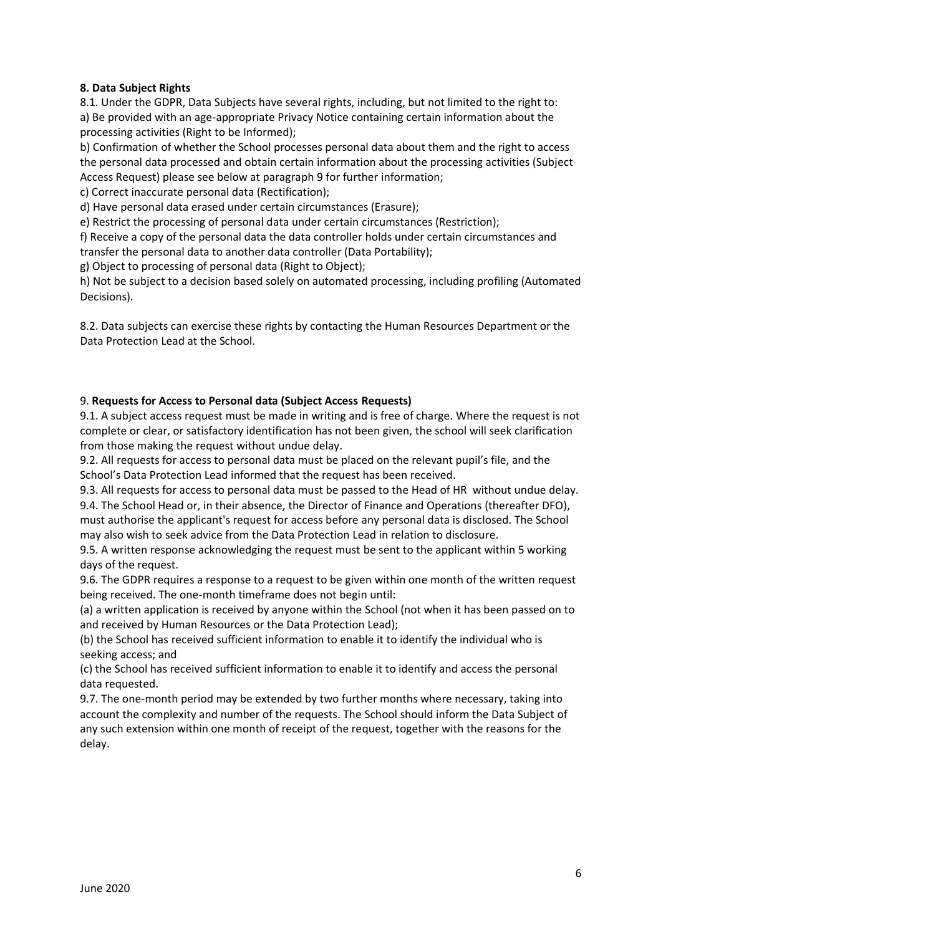### **8. Data Subject Rights**

8.1. Under the GDPR, Data Subjects have several rights, including, but not limited to the right to: a) Be provided with an age-appropriate Privacy Notice containing certain information about the processing activities (Right to be Informed);

b) Confirmation of whether the School processes personal data about them and the right to access the personal data processed and obtain certain information about the processing activities (Subject Access Request) please see below at paragraph 9 for further information;

c) Correct inaccurate personal data (Rectification);

d) Have personal data erased under certain circumstances (Erasure);

e) Restrict the processing of personal data under certain circumstances (Restriction);

f) Receive a copy of the personal data the data controller holds under certain circumstances and

transfer the personal data to another data controller (Data Portability);

g) Object to processing of personal data (Right to Object);

h) Not be subject to a decision based solely on automated processing, including profiling (Automated Decisions).

8.2. Data subjects can exercise these rights by contacting the Human Resources Department or the Data Protection Lead at the School.

### 9. **Requests for Access to Personal data (Subject Access Requests)**

9.1. A subject access request must be made in writing and is free of charge. Where the request is not complete or clear, or satisfactory identification has not been given, the school will seek clarification from those making the request without undue delay.

9.2. All requests for access to personal data must be placed on the relevant pupil's file, and the School's Data Protection Lead informed that the request has been received.

9.3. All requests for access to personal data must be passed to the Head of HR without undue delay. 9.4. The School Head or, in their absence, the Director of Finance and Operations (thereafter DFO), must authorise the applicant's request for access before any personal data is disclosed. The School may also wish to seek advice from the Data Protection Lead in relation to disclosure.

9.5. A written response acknowledging the request must be sent to the applicant within 5 working days of the request.

9.6. The GDPR requires a response to a request to be given within one month of the written request being received. The one-month timeframe does not begin until:

(a) a written application is received by anyone within the School (not when it has been passed on to and received by Human Resources or the Data Protection Lead);

(b) the School has received sufficient information to enable it to identify the individual who is seeking access; and

(c) the School has received sufficient information to enable it to identify and access the personal data requested.

9.7. The one-month period may be extended by two further months where necessary, taking into account the complexity and number of the requests. The School should inform the Data Subject of any such extension within one month of receipt of the request, together with the reasons for the delay.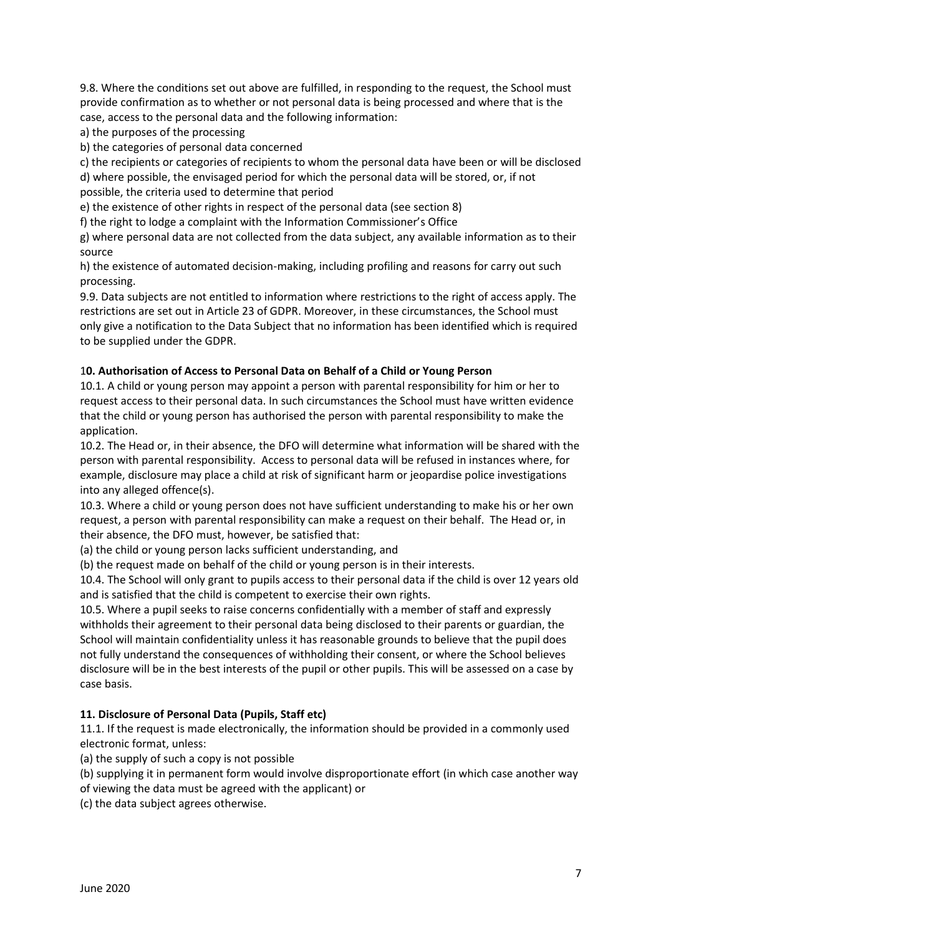9.8. Where the conditions set out above are fulfilled, in responding to the request, the School must provide confirmation as to whether or not personal data is being processed and where that is the case, access to the personal data and the following information:

a) the purposes of the processing

b) the categories of personal data concerned

c) the recipients or categories of recipients to whom the personal data have been or will be disclosed d) where possible, the envisaged period for which the personal data will be stored, or, if not possible, the criteria used to determine that period

e) the existence of other rights in respect of the personal data (see section 8)

f) the right to lodge a complaint with the Information Commissioner's Office

g) where personal data are not collected from the data subject, any available information as to their source

h) the existence of automated decision-making, including profiling and reasons for carry out such processing.

9.9. Data subjects are not entitled to information where restrictions to the right of access apply. The restrictions are set out in Article 23 of GDPR. Moreover, in these circumstances, the School must only give a notification to the Data Subject that no information has been identified which is required to be supplied under the GDPR.

## 1**0. Authorisation of Access to Personal Data on Behalf of a Child or Young Person**

10.1. A child or young person may appoint a person with parental responsibility for him or her to request access to their personal data. In such circumstances the School must have written evidence that the child or young person has authorised the person with parental responsibility to make the application.

10.2. The Head or, in their absence, the DFO will determine what information will be shared with the person with parental responsibility. Access to personal data will be refused in instances where, for example, disclosure may place a child at risk of significant harm or jeopardise police investigations into any alleged offence(s).

10.3. Where a child or young person does not have sufficient understanding to make his or her own request, a person with parental responsibility can make a request on their behalf. The Head or, in their absence, the DFO must, however, be satisfied that:

(a) the child or young person lacks sufficient understanding, and

(b) the request made on behalf of the child or young person is in their interests.

10.4. The School will only grant to pupils access to their personal data if the child is over 12 years old and is satisfied that the child is competent to exercise their own rights.

10.5. Where a pupil seeks to raise concerns confidentially with a member of staff and expressly withholds their agreement to their personal data being disclosed to their parents or guardian, the School will maintain confidentiality unless it has reasonable grounds to believe that the pupil does not fully understand the consequences of withholding their consent, or where the School believes disclosure will be in the best interests of the pupil or other pupils. This will be assessed on a case by case basis.

# **11. Disclosure of Personal Data (Pupils, Staff etc)**

11.1. If the request is made electronically, the information should be provided in a commonly used electronic format, unless:

(a) the supply of such a copy is not possible

(b) supplying it in permanent form would involve disproportionate effort (in which case another way

of viewing the data must be agreed with the applicant) or

(c) the data subject agrees otherwise.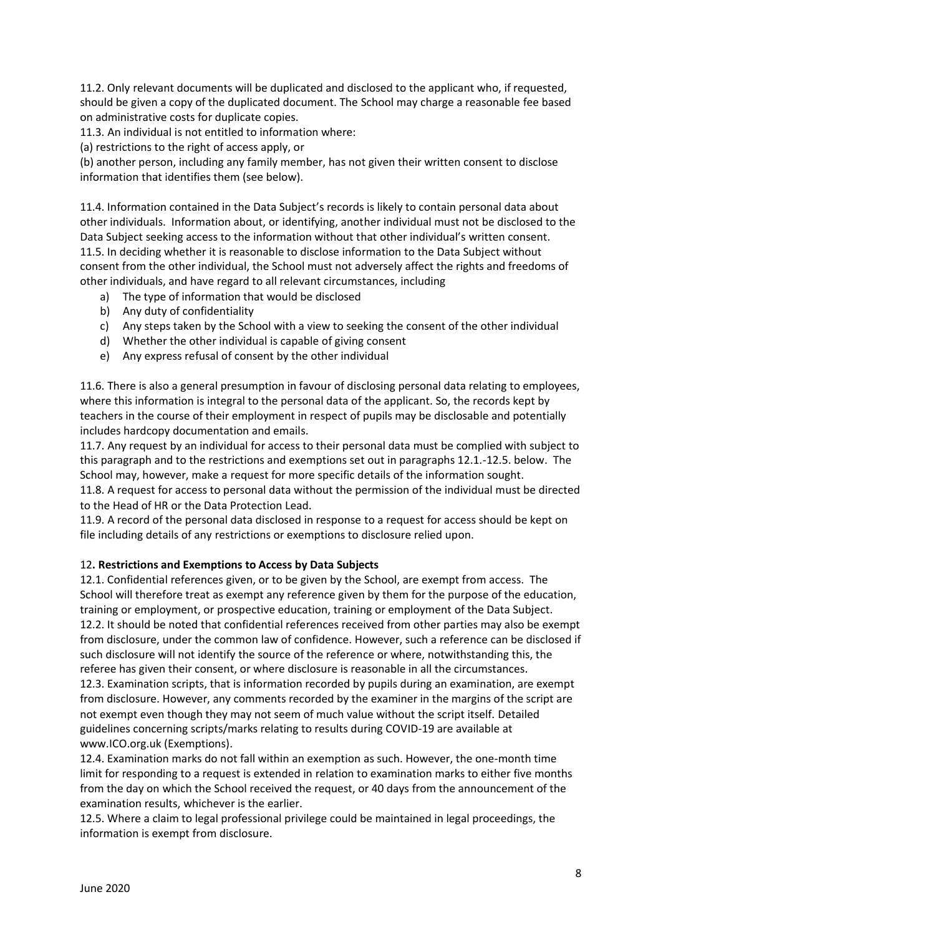11.2. Only relevant documents will be duplicated and disclosed to the applicant who, if requested, should be given a copy of the duplicated document. The School may charge a reasonable fee based on administrative costs for duplicate copies.

11.3. An individual is not entitled to information where:

(a) restrictions to the right of access apply, or

(b) another person, including any family member, has not given their written consent to disclose information that identifies them (see below).

11.4. Information contained in the Data Subject's records is likely to contain personal data about other individuals. Information about, or identifying, another individual must not be disclosed to the Data Subject seeking access to the information without that other individual's written consent. 11.5. In deciding whether it is reasonable to disclose information to the Data Subject without consent from the other individual, the School must not adversely affect the rights and freedoms of other individuals, and have regard to all relevant circumstances, including

- a) The type of information that would be disclosed
- b) Any duty of confidentiality
- c) Any steps taken by the School with a view to seeking the consent of the other individual
- d) Whether the other individual is capable of giving consent
- e) Any express refusal of consent by the other individual

11.6. There is also a general presumption in favour of disclosing personal data relating to employees, where this information is integral to the personal data of the applicant. So, the records kept by teachers in the course of their employment in respect of pupils may be disclosable and potentially includes hardcopy documentation and emails.

11.7. Any request by an individual for access to their personal data must be complied with subject to this paragraph and to the restrictions and exemptions set out in paragraphs 12.1.-12.5. below. The School may, however, make a request for more specific details of the information sought.

11.8. A request for access to personal data without the permission of the individual must be directed to the Head of HR or the Data Protection Lead.

11.9. A record of the personal data disclosed in response to a request for access should be kept on file including details of any restrictions or exemptions to disclosure relied upon.

### 12**. Restrictions and Exemptions to Access by Data Subjects**

12.1. Confidential references given, or to be given by the School, are exempt from access. The School will therefore treat as exempt any reference given by them for the purpose of the education, training or employment, or prospective education, training or employment of the Data Subject. 12.2. It should be noted that confidential references received from other parties may also be exempt from disclosure, under the common law of confidence. However, such a reference can be disclosed if such disclosure will not identify the source of the reference or where, notwithstanding this, the referee has given their consent, or where disclosure is reasonable in all the circumstances.

12.3. Examination scripts, that is information recorded by pupils during an examination, are exempt from disclosure. However, any comments recorded by the examiner in the margins of the script are not exempt even though they may not seem of much value without the script itself. Detailed guidelines concerning scripts/marks relating to results during COVID-19 are available at www.ICO.org.uk (Exemptions).

12.4. Examination marks do not fall within an exemption as such. However, the one-month time limit for responding to a request is extended in relation to examination marks to either five months from the day on which the School received the request, or 40 days from the announcement of the examination results, whichever is the earlier.

12.5. Where a claim to legal professional privilege could be maintained in legal proceedings, the information is exempt from disclosure.